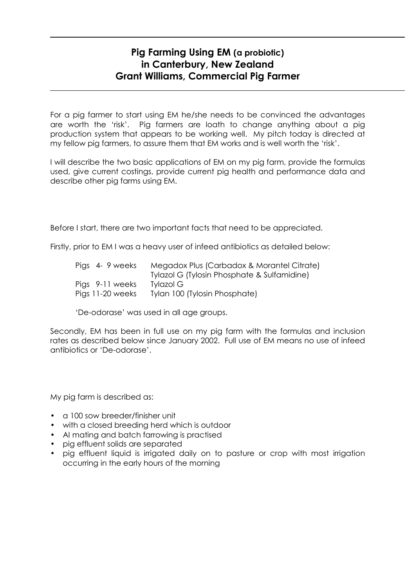## Pig Farming Using EM (a probiotic) in Canterbury, New Zealand Grant Williams, Commercial Pig Farmer

For a pig farmer to start using EM he/she needs to be convinced the advantages are worth the 'risk'. Pig farmers are loath to change anything about a pig production system that appears to be working well. My pitch today is directed at my fellow pig farmers, to assure them that EM works and is well worth the 'risk'.

I will describe the two basic applications of EM on my pig farm, provide the formulas used, give current costings, provide current pig health and performance data and describe other pig farms using EM.

Before I start, there are two important facts that need to be appreciated.

Firstly, prior to EM I was a heavy user of infeed antibiotics as detailed below:

| Pigs 4-9 weeks   | Megadox Plus (Carbadox & Morantel Citrate)<br>Tylazol G (Tylosin Phosphate & Sulfamidine) |
|------------------|-------------------------------------------------------------------------------------------|
| Pigs 9-11 weeks  | Tylazol G                                                                                 |
| Pigs 11-20 weeks | Tylan 100 (Tylosin Phosphate)                                                             |

'De-odorase' was used in all age groups.

Secondly, EM has been in full use on my pig farm with the formulas and inclusion rates as described below since January 2002. Full use of EM means no use of infeed antibiotics or 'De-odorase'.

My pig farm is described as:

- a 100 sow breeder/finisher unit
- with a closed breeding herd which is outdoor
- AI mating and batch farrowing is practised
- pig effluent solids are separated
- pig effluent liquid is irrigated daily on to pasture or crop with most irrigation occurring in the early hours of the morning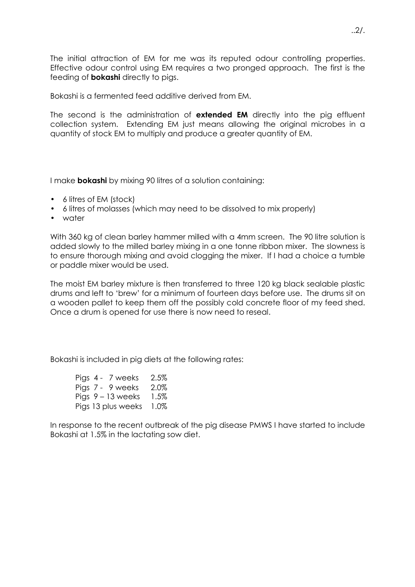The initial attraction of EM for me was its reputed odour controlling properties. Effective odour control using EM requires a two pronged approach. The first is the feeding of **bokashi** directly to pigs.

Bokashi is a fermented feed additive derived from EM.

The second is the administration of **extended EM** directly into the pig effluent collection system. Extending EM just means allowing the original microbes in a quantity of stock EM to multiply and produce a greater quantity of EM.

I make **bokashi** by mixing 90 litres of a solution containing:

- 6 litres of EM (stock)
- 6 litres of molasses (which may need to be dissolved to mix properly)
- water

With 360 kg of clean barley hammer milled with a 4mm screen. The 90 litre solution is added slowly to the milled barley mixing in a one tonne ribbon mixer. The slowness is to ensure thorough mixing and avoid clogging the mixer. If I had a choice a tumble or paddle mixer would be used.

The moist EM barley mixture is then transferred to three 120 kg black sealable plastic drums and left to 'brew' for a minimum of fourteen days before use. The drums sit on a wooden pallet to keep them off the possibly cold concrete floor of my feed shed. Once a drum is opened for use there is now need to reseal.

Bokashi is included in pig diets at the following rates:

| Pigs 4 - 7 weeks    | 2.5%    |
|---------------------|---------|
| Pigs 7 - 9 weeks    | 2.0%    |
| Pigs $9 - 13$ weeks | 1.5%    |
| Pigs 13 plus weeks  | $1.0\%$ |

In response to the recent outbreak of the pig disease PMWS I have started to include Bokashi at 1.5% in the lactating sow diet.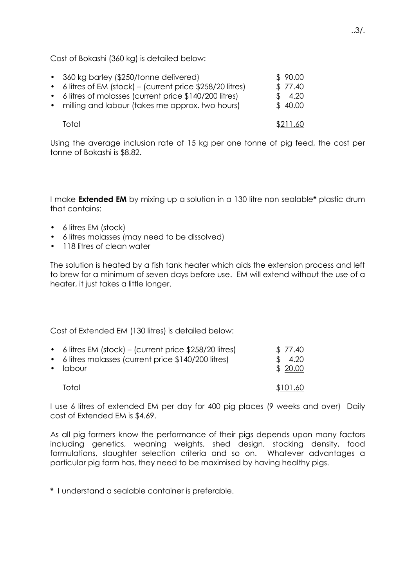Cost of Bokashi (360 kg) is detailed below:

| • 360 kg barley (\$250/tonne delivered)<br>• 6 litres of EM (stock) – (current price \$258/20 litres)<br>• 6 litres of molasses (current price \$140/200 litres)<br>• milling and labour (takes me approx. two hours) | \$90.00<br>\$77.40<br>\$4.20<br>\$40.00 |
|-----------------------------------------------------------------------------------------------------------------------------------------------------------------------------------------------------------------------|-----------------------------------------|
| Total                                                                                                                                                                                                                 | \$211.60                                |

Using the average inclusion rate of 15 kg per one tonne of pig feed, the cost per tonne of Bokashi is \$8.82.

I make **Extended EM** by mixing up a solution in a 130 litre non sealable\* plastic drum that contains:

- 6 litres EM (stock)
- 6 litres molasses (may need to be dissolved)
- 118 litres of clean water

The solution is heated by a fish tank heater which aids the extension process and left to brew for a minimum of seven days before use. EM will extend without the use of a heater, it just takes a little longer.

Cost of Extended EM (130 litres) is detailed below:

| • 6 litres EM (stock) – (current price $$258/20$ litres)<br>• 6 litres molasses (current price \$140/200 litres)<br>$\bullet$ $\alpha$ labour | \$77.40<br>\$4.20<br>\$20.00 |
|-----------------------------------------------------------------------------------------------------------------------------------------------|------------------------------|
| Total                                                                                                                                         | \$101.60                     |

I use 6 litres of extended EM per day for 400 pig places (9 weeks and over) Daily cost of Extended EM is \$4.69.

As all pig farmers know the performance of their pigs depends upon many factors including genetics, weaning weights, shed design, stocking density, food formulations, slaughter selection criteria and so on. Whatever advantages a particular pig farm has, they need to be maximised by having healthy pigs.

\* I understand a sealable container is preferable.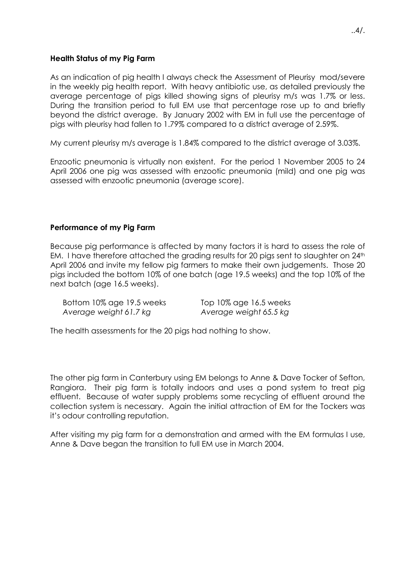## Health Status of my Pig Farm

As an indication of pig health I always check the Assessment of Pleurisy mod/severe in the weekly pig health report. With heavy antibiotic use, as detailed previously the average percentage of pigs killed showing signs of pleurisy m/s was 1.7% or less. During the transition period to full EM use that percentage rose up to and briefly beyond the district average. By January 2002 with EM in full use the percentage of pigs with pleurisy had fallen to 1.79% compared to a district average of 2.59%.

My current pleurisy m/s average is 1.84% compared to the district average of 3.03%.

Enzootic pneumonia is virtually non existent. For the period 1 November 2005 to 24 April 2006 one pig was assessed with enzootic pneumonia (mild) and one pig was assessed with enzootic pneumonia (average score).

## Performance of my Pig Farm

Because pig performance is affected by many factors it is hard to assess the role of EM. I have therefore attached the grading results for 20 pigs sent to slaughter on  $24<sup>th</sup>$ April 2006 and invite my fellow pig farmers to make their own judgements. Those 20 pigs included the bottom 10% of one batch (age 19.5 weeks) and the top 10% of the next batch (age 16.5 weeks).

Bottom 10% age 19.5 weeks Top 10% age 16.5 weeks Average weight 61.7 kg Average weight 65.5 kg

The health assessments for the 20 pigs had nothing to show.

The other pig farm in Canterbury using EM belongs to Anne & Dave Tocker of Sefton, Rangiora. Their pig farm is totally indoors and uses a pond system to treat pig effluent. Because of water supply problems some recycling of effluent around the collection system is necessary. Again the initial attraction of EM for the Tockers was it's odour controlling reputation.

After visiting my pig farm for a demonstration and armed with the EM formulas I use, Anne & Dave began the transition to full EM use in March 2004.